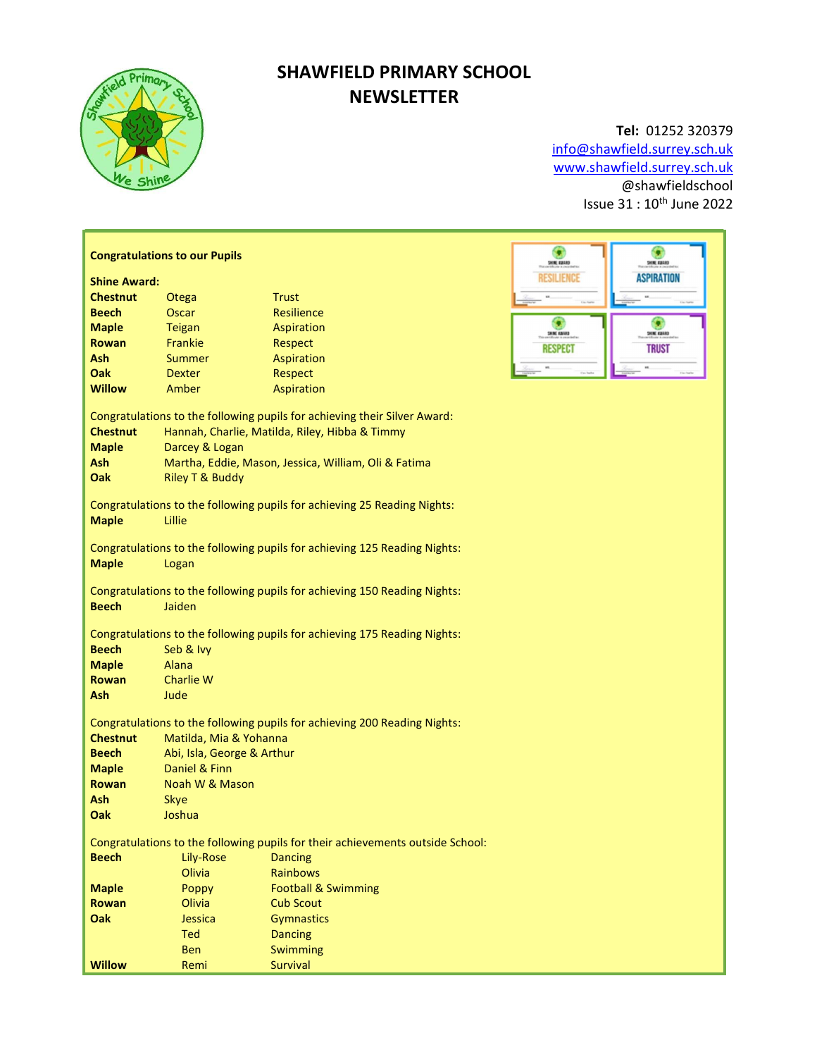

## SHAWFIELD PRIMARY SCHOOL **NEWSLETTER**

### Tel: 01252 320379

info@shawfield.surrey.sch.uk www.shawfield.surrey.sch.uk @shawfieldschool Issue  $31:10^{th}$  June 2022

|                                                                                                                                                                                                                                                                                                                                                                                                                                                                                                                                                                                                                   | <b>Congratulations to our Pupils</b>                                      | ۰<br>G<br>SHNE KUARD<br>SHNE KUARD                                        |                                          |  |  |  |
|-------------------------------------------------------------------------------------------------------------------------------------------------------------------------------------------------------------------------------------------------------------------------------------------------------------------------------------------------------------------------------------------------------------------------------------------------------------------------------------------------------------------------------------------------------------------------------------------------------------------|---------------------------------------------------------------------------|---------------------------------------------------------------------------|------------------------------------------|--|--|--|
| <b>Shine Award:</b>                                                                                                                                                                                                                                                                                                                                                                                                                                                                                                                                                                                               |                                                                           | <b>RESILIENCE</b><br><b>ASPIRATION</b>                                    |                                          |  |  |  |
| <b>Chestnut</b>                                                                                                                                                                                                                                                                                                                                                                                                                                                                                                                                                                                                   | Otega                                                                     | <b>Trust</b>                                                              |                                          |  |  |  |
| <b>Beech</b>                                                                                                                                                                                                                                                                                                                                                                                                                                                                                                                                                                                                      | Oscar                                                                     | Resilience                                                                |                                          |  |  |  |
| <b>Maple</b>                                                                                                                                                                                                                                                                                                                                                                                                                                                                                                                                                                                                      | <b>Teigan</b>                                                             | Aspiration                                                                | G<br>G                                   |  |  |  |
| <b>Rowan</b>                                                                                                                                                                                                                                                                                                                                                                                                                                                                                                                                                                                                      | Frankie                                                                   | Respect                                                                   | <b>SHINE AIRING</b><br><b>SHIK KUAND</b> |  |  |  |
| <b>Ash</b>                                                                                                                                                                                                                                                                                                                                                                                                                                                                                                                                                                                                        | <b>Summer</b>                                                             | Aspiration                                                                | <b>RESPECT</b><br><b>TRUST</b>           |  |  |  |
| Oak                                                                                                                                                                                                                                                                                                                                                                                                                                                                                                                                                                                                               | <b>Dexter</b>                                                             | Respect                                                                   |                                          |  |  |  |
| <b>Willow</b>                                                                                                                                                                                                                                                                                                                                                                                                                                                                                                                                                                                                     | Amber                                                                     | Aspiration                                                                |                                          |  |  |  |
|                                                                                                                                                                                                                                                                                                                                                                                                                                                                                                                                                                                                                   |                                                                           |                                                                           |                                          |  |  |  |
|                                                                                                                                                                                                                                                                                                                                                                                                                                                                                                                                                                                                                   | Congratulations to the following pupils for achieving their Silver Award: |                                                                           |                                          |  |  |  |
| <b>Chestnut</b>                                                                                                                                                                                                                                                                                                                                                                                                                                                                                                                                                                                                   | Hannah, Charlie, Matilda, Riley, Hibba & Timmy                            |                                                                           |                                          |  |  |  |
| <b>Maple</b>                                                                                                                                                                                                                                                                                                                                                                                                                                                                                                                                                                                                      | Darcey & Logan                                                            |                                                                           |                                          |  |  |  |
| Ash                                                                                                                                                                                                                                                                                                                                                                                                                                                                                                                                                                                                               |                                                                           | Martha, Eddie, Mason, Jessica, William, Oli & Fatima                      |                                          |  |  |  |
| Oak                                                                                                                                                                                                                                                                                                                                                                                                                                                                                                                                                                                                               | <b>Riley T &amp; Buddy</b>                                                |                                                                           |                                          |  |  |  |
| Congratulations to the following pupils for achieving 25 Reading Nights:                                                                                                                                                                                                                                                                                                                                                                                                                                                                                                                                          |                                                                           |                                                                           |                                          |  |  |  |
| <b>Maple</b>                                                                                                                                                                                                                                                                                                                                                                                                                                                                                                                                                                                                      | Lillie                                                                    |                                                                           |                                          |  |  |  |
|                                                                                                                                                                                                                                                                                                                                                                                                                                                                                                                                                                                                                   |                                                                           |                                                                           |                                          |  |  |  |
|                                                                                                                                                                                                                                                                                                                                                                                                                                                                                                                                                                                                                   |                                                                           | Congratulations to the following pupils for achieving 125 Reading Nights: |                                          |  |  |  |
| <b>Maple</b>                                                                                                                                                                                                                                                                                                                                                                                                                                                                                                                                                                                                      | Logan                                                                     |                                                                           |                                          |  |  |  |
|                                                                                                                                                                                                                                                                                                                                                                                                                                                                                                                                                                                                                   |                                                                           |                                                                           |                                          |  |  |  |
|                                                                                                                                                                                                                                                                                                                                                                                                                                                                                                                                                                                                                   |                                                                           | Congratulations to the following pupils for achieving 150 Reading Nights: |                                          |  |  |  |
| <b>Beech</b>                                                                                                                                                                                                                                                                                                                                                                                                                                                                                                                                                                                                      | Jaiden                                                                    |                                                                           |                                          |  |  |  |
|                                                                                                                                                                                                                                                                                                                                                                                                                                                                                                                                                                                                                   |                                                                           |                                                                           |                                          |  |  |  |
|                                                                                                                                                                                                                                                                                                                                                                                                                                                                                                                                                                                                                   |                                                                           |                                                                           |                                          |  |  |  |
|                                                                                                                                                                                                                                                                                                                                                                                                                                                                                                                                                                                                                   |                                                                           |                                                                           |                                          |  |  |  |
|                                                                                                                                                                                                                                                                                                                                                                                                                                                                                                                                                                                                                   |                                                                           |                                                                           |                                          |  |  |  |
|                                                                                                                                                                                                                                                                                                                                                                                                                                                                                                                                                                                                                   |                                                                           |                                                                           |                                          |  |  |  |
|                                                                                                                                                                                                                                                                                                                                                                                                                                                                                                                                                                                                                   |                                                                           |                                                                           |                                          |  |  |  |
| Congratulations to the following pupils for achieving 200 Reading Nights:                                                                                                                                                                                                                                                                                                                                                                                                                                                                                                                                         |                                                                           |                                                                           |                                          |  |  |  |
| <b>Chestnut</b>                                                                                                                                                                                                                                                                                                                                                                                                                                                                                                                                                                                                   | Matilda, Mia & Yohanna                                                    |                                                                           |                                          |  |  |  |
| <b>Beech</b>                                                                                                                                                                                                                                                                                                                                                                                                                                                                                                                                                                                                      | Abi, Isla, George & Arthur                                                |                                                                           |                                          |  |  |  |
| <b>Maple</b>                                                                                                                                                                                                                                                                                                                                                                                                                                                                                                                                                                                                      | Daniel & Finn                                                             |                                                                           |                                          |  |  |  |
| <b>Rowan</b>                                                                                                                                                                                                                                                                                                                                                                                                                                                                                                                                                                                                      | Noah W & Mason                                                            |                                                                           |                                          |  |  |  |
| Ash                                                                                                                                                                                                                                                                                                                                                                                                                                                                                                                                                                                                               |                                                                           |                                                                           |                                          |  |  |  |
| Oak                                                                                                                                                                                                                                                                                                                                                                                                                                                                                                                                                                                                               |                                                                           |                                                                           |                                          |  |  |  |
|                                                                                                                                                                                                                                                                                                                                                                                                                                                                                                                                                                                                                   |                                                                           |                                                                           |                                          |  |  |  |
|                                                                                                                                                                                                                                                                                                                                                                                                                                                                                                                                                                                                                   |                                                                           |                                                                           |                                          |  |  |  |
|                                                                                                                                                                                                                                                                                                                                                                                                                                                                                                                                                                                                                   |                                                                           |                                                                           |                                          |  |  |  |
|                                                                                                                                                                                                                                                                                                                                                                                                                                                                                                                                                                                                                   |                                                                           |                                                                           |                                          |  |  |  |
|                                                                                                                                                                                                                                                                                                                                                                                                                                                                                                                                                                                                                   |                                                                           |                                                                           |                                          |  |  |  |
|                                                                                                                                                                                                                                                                                                                                                                                                                                                                                                                                                                                                                   |                                                                           |                                                                           |                                          |  |  |  |
|                                                                                                                                                                                                                                                                                                                                                                                                                                                                                                                                                                                                                   |                                                                           |                                                                           |                                          |  |  |  |
|                                                                                                                                                                                                                                                                                                                                                                                                                                                                                                                                                                                                                   |                                                                           |                                                                           |                                          |  |  |  |
|                                                                                                                                                                                                                                                                                                                                                                                                                                                                                                                                                                                                                   |                                                                           |                                                                           |                                          |  |  |  |
| Congratulations to the following pupils for achieving 175 Reading Nights:<br><b>Beech</b><br>Seb & Ivy<br><b>Maple</b><br>Alana<br><b>Charlie W</b><br><b>Rowan</b><br>Ash<br>Jude<br>Skye<br>Joshua<br>Congratulations to the following pupils for their achievements outside School:<br><b>Beech</b><br>Lily-Rose<br><b>Dancing</b><br>Olivia<br><b>Rainbows</b><br><b>Maple</b><br>Poppy<br><b>Football &amp; Swimming</b><br>Rowan<br>Olivia<br><b>Cub Scout</b><br>Oak<br><b>Gymnastics</b><br>Jessica<br><b>Ted</b><br><b>Dancing</b><br><b>Ben</b><br>Swimming<br><b>Willow</b><br><b>Survival</b><br>Remi |                                                                           |                                                                           |                                          |  |  |  |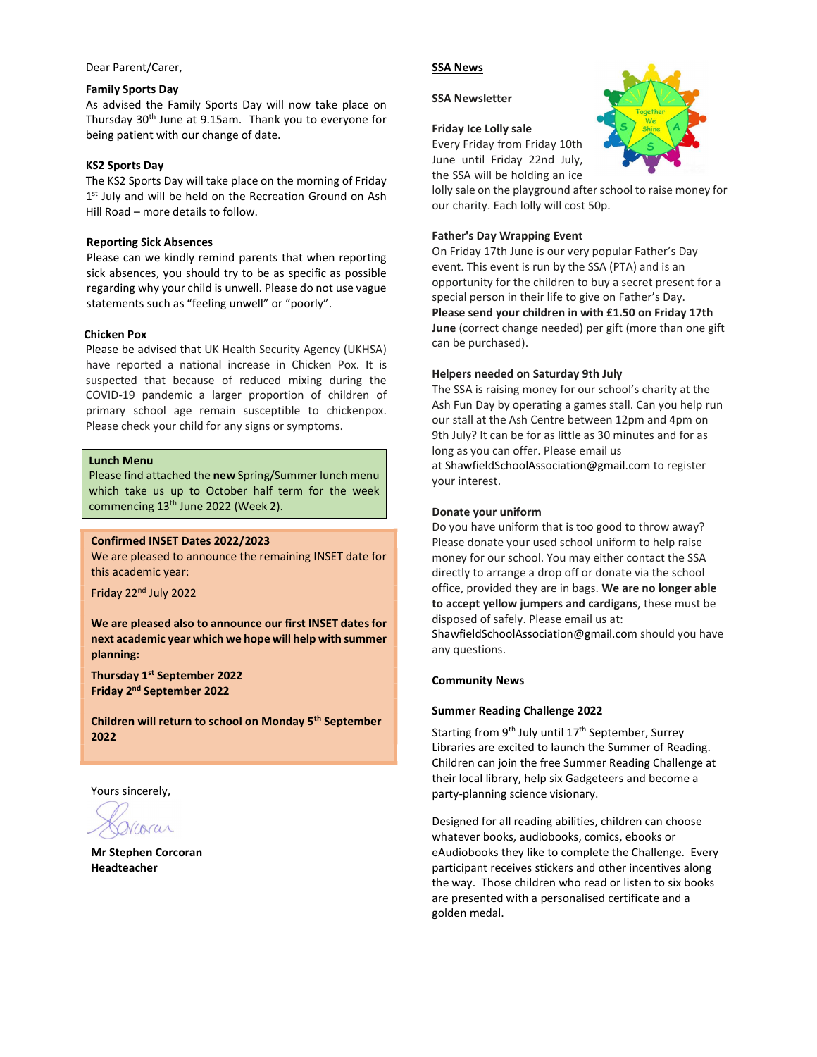#### Dear Parent/Carer,

#### Family Sports Day

As advised the Family Sports Day will now take place on Thursday 30th June at 9.15am. Thank you to everyone for being patient with our change of date.

#### KS2 Sports Day

The KS2 Sports Day will take place on the morning of Friday 1<sup>st</sup> July and will be held on the Recreation Ground on Ash Hill Road – more details to follow.

#### Reporting Sick Absences

Please can we kindly remind parents that when reporting sick absences, you should try to be as specific as possible regarding why your child is unwell. Please do not use vague statements such as "feeling unwell" or "poorly".

#### Chicken Pox

Please be advised that UK Health Security Agency (UKHSA) have reported a national increase in Chicken Pox. It is suspected that because of reduced mixing during the COVID-19 pandemic a larger proportion of children of primary school age remain susceptible to chickenpox. Please check your child for any signs or symptoms.

#### Lunch Menu

Please find attached the new Spring/Summer lunch menu which take us up to October half term for the week commencing 13<sup>th</sup> June 2022 (Week 2).

#### Confirmed INSET Dates 2022/2023

We are pleased to announce the remaining INSET date for this academic year:

Friday 22nd July 2022

We are pleased also to announce our first INSET dates for next academic year which we hope will help with summer planning:

Thursday 1<sup>st</sup> September 2022 Friday 2nd September 2022

Children will return to school on Monday 5th September 2022

Yours sincerely,

IACUL

Mr Stephen Corcoran Headteacher

#### SSA News

SSA Newsletter

#### Friday Ice Lolly sale

Every Friday from Friday 10th June until Friday 22nd July,

the SSA will be holding an ice

lolly sale on the playground after school to raise money for our charity. Each lolly will cost 50p.

#### Father's Day Wrapping Event

On Friday 17th June is our very popular Father's Day event. This event is run by the SSA (PTA) and is an opportunity for the children to buy a secret present for a special person in their life to give on Father's Day. Please send your children in with £1.50 on Friday 17th June (correct change needed) per gift (more than one gift can be purchased).

#### Helpers needed on Saturday 9th July

The SSA is raising money for our school's charity at the Ash Fun Day by operating a games stall. Can you help run our stall at the Ash Centre between 12pm and 4pm on 9th July? It can be for as little as 30 minutes and for as long as you can offer. Please email us at ShawfieldSchoolAssociation@gmail.com to register your interest.

#### Donate your uniform

Do you have uniform that is too good to throw away? Please donate your used school uniform to help raise money for our school. You may either contact the SSA directly to arrange a drop off or donate via the school office, provided they are in bags. We are no longer able to accept yellow jumpers and cardigans, these must be disposed of safely. Please email us at: ShawfieldSchoolAssociation@gmail.com should you have any questions.

#### Community News

#### Summer Reading Challenge 2022

Starting from  $9<sup>th</sup>$  July until  $17<sup>th</sup>$  September, Surrey Libraries are excited to launch the Summer of Reading. Children can join the free Summer Reading Challenge at their local library, help six Gadgeteers and become a party-planning science visionary.

Designed for all reading abilities, children can choose whatever books, audiobooks, comics, ebooks or eAudiobooks they like to complete the Challenge. Every participant receives stickers and other incentives along the way. Those children who read or listen to six books are presented with a personalised certificate and a golden medal.